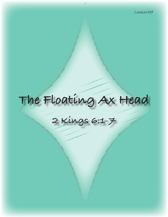# **The Floating Ax Head**

## **2 Kings 6:1-7**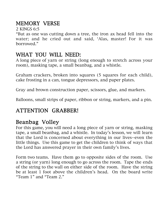#### MEMORY VERSE

2 KINGS 6:5

"But as one was cutting down a tree, the iron ax head fell into the water; and he cried out and said, 'Alas, master! For it was borrowed."

#### WHAT YOU WILL NEED:

A long piece of yarn or string (long enough to stretch across your room), masking tape, a small beanbag, and a whistle.

Graham crackers, broken into squares (5 squares for each child), cake frosting in a can, tongue depressors, and paper plates.

Gray and brown construction paper, scissors, glue, and markers.

Balloons, small strips of paper, ribbon or string, markers, and a pin.

#### ATTENTION GRABBER!

#### Beanbag Volley

For this game, you will need a long piece of yarn or string, masking tape, a small beanbag, and a whistle. In today's lesson, we will learn that the Lord is concerned about everything in our lives--even the little things. Use this game to get the children to think of ways that the Lord has answered prayer in their own family's lives.

Form two teams. Have them go to opposite sides of the room. Use a string (or yarn) long enough to go across the room. Tape the ends of the string to the wall on either side of the room. Have the string be at least 1 foot above the children's head. On the board write "Team 1" and "Team 2."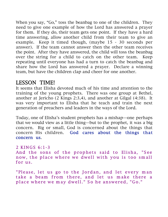When you say, "Go," toss the beanbag to one of the children. They need to give one example of how the Lord has answered a prayer for them. If they do, their team gets one point. If they have a hard time answering, allow another child from their team to give an example. Keep it timed though, (maybe 15 - 30 seconds per answer). If the team cannot answer then the other team receives the point. After they have answered, the child will toss the beanbag over the string for a child to catch on the other team. Keep repeating until everyone has had a turn to catch the beanbag and share how the Lord has answered a prayer. Declare a winning team, but have the children clap and cheer for one another.

#### LESSON TIME!

It seems that Elisha devoted much of his time and attention to the training of the young prophets. There was one group at Bethel, another at Jericho (2 Kings 2:3,4), and another at Gilgal (4:38). It was very important to Elisha that he teach and train the next generation of preachers and leaders in the ways of the Lord.

Today, one of Elisha's student prophets has a mishap—one perhaps that we would view as a little thing—but to the prophet, it was a big concern. Big or small, God is concerned about the things that concern His children. God cares about the things that concern us.

2 KINGS 6:1-3 And the sons of the prophets said to Elisha, "See now, the place where we dwell with you is too small for us.

"Please, let us go to the Jordan, and let every man take a beam from there, and let us make there a place where we may dwell." So he answered, "Go."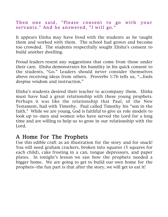#### Then one said, "Please consent to go with your servants." And he answered, "I will go."

It appears Elisha may have lived with the students as he taught them and worked with them. The school had grown and become too crowded. The students respectfully sought Elisha's consent to build another dwelling.

Proud leaders resent any suggestions that come from those under their care. Elisha demonstrates his humility in his quick consent to the students, "Go." Leaders should never consider themselves above receiving ideas from others. Proverbs 1:7b tells us, "...fools despise wisdom and instruction."

Elisha's students desired their teacher to accompany them. Elisha must have had a great relationship with these young prophets. Perhaps it was like the relationship that Paul, of the New Testament, had with Timothy. Paul called Timothy his "son in the faith." While we are young, God is faithful to give us role models to look up to--men and women who have served the Lord for a long time and are willing to help us to grow in our relationship with the Lord.

#### A Home For The Prophets

Use this edible craft as an illustration for the story and for snack! You will need graham crackers, broken into squares (5 squares for each child), cake frosting in a can, tongue depressors, and paper plates. In tonight's lesson we saw how the prophets needed a bigger home. We are going to get to build our own home for the prophets--the fun part is that after the story, we will get to eat it!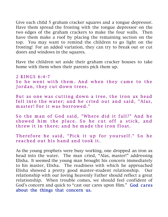Give each child 5 graham cracker squares and a tongue depressor. Have them spread the frosting with the tongue depressor on the two edges of the graham crackers to make the four walls. Then have them make a roof by placing the remaining section on the top. You may want to remind the children to go light on the frosting! For an added variation, they can try to break out or cut doors and windows in the squares.

Have the children set aside their graham cracker houses to take home with them when their parents pick them up.

2 KINGS 6:4-7 So he went with them. And when they came to the Jordan, they cut down trees.

But as one was cutting down a tree, the iron ax head fell into the water; and he cried out and said, "Alas, m aster! For it was borrowed."

So the man of God said, "Where did it fall?" And he showed him the place. So he cut off a stick, and threw it in there; and he made the iron float.

Therefore he said, "Pick it up for yourself." So he reached out his hand and took it.

As the young prophets were busy working, one dropped an iron ax head into the water. The man cried, "Alas, master!" addressing Elisha. It seemed the young man brought his concern immediately to his master, Elisha. The readiness with which he approached Elisha showed a pretty good master-student relationship. Our relationship with our loving heavenly Father should reflect a great relationship. When trouble comes, we should feel confident of God's concern and quick to "cast our cares upon Him." God cares about the things that concern us.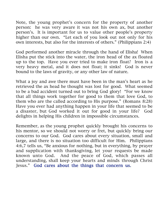Note, the young prophet's concern for the property of another person: he was very aware it was not his own ax, but another person's. It is important for us to value other people's property higher than our own. "Let each of you look out not only for his own interests, but also for the interests of others." (Philippians 2:4)

God performed another miracle through the hand of Elisha! When Elisha put the stick into the water, the iron head of the ax floated up to the top. Have you ever tried to make iron float? Iron is a very heavy metal, and it does not float; it sinks! God is never bound to the laws of gravity, or any other law of nature.

What a joy and awe there must have been in the man's heart as he retrieved the ax head he thought was lost for good. What seemed to be a bad accident turned out to bring God glory! "For we know that all things work together for good to them that love God, to them who are the called according to His purpose." (Romans 8:28) Have you ever had anything happen in your life that seemed to be a disaster, but God worked it out for good in your life? God delights in helping His children in impossible circumstances.

Remember, as the young prophet quickly brought his concerns to his mentor, so we should not worry or fret, but quickly bring our concerns to our God. God cares about every situation, small and large, and there is no situation too difficult for Him. Philippians 4:6,7 tells us, "Be anxious for nothing, but in everything, by prayer and supplication with thanksgiving, let your requests be made known unto God. And the peace of God, which passes all understanding, shall keep your hearts and minds through Christ Jesus." God cares about the things that concern us.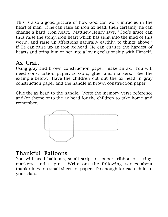This is also a good picture of how God can work miracles in the heart of man. If he can raise an iron ax head, then certainly he can change a hard, iron heart. Matthew Henry says, "God's grace can thus raise the stony, iron heart which has sunk into the mud of this world, and raise up affections naturally earthly, to things above." If He can raise up an iron ax head, He can change the hardest of hearts and bring him or her into a loving relationship with Himself.

### Ax Craft

Using gray and brown construction paper, make an ax. You will need construction paper, scissors, glue, and markers. See the example below. Have the children cut out the ax head in gray construction paper and the handle in brown construction paper.

Glue the ax head to the handle. Write the memory verse reference and/or theme onto the ax head for the children to take home and remember.



#### Thankful Balloons

You will need balloons, small strips of paper, ribbon or string, markers, and a pin. Write out the following verses about thankfulness on small sheets of paper. Do enough for each child in your class.